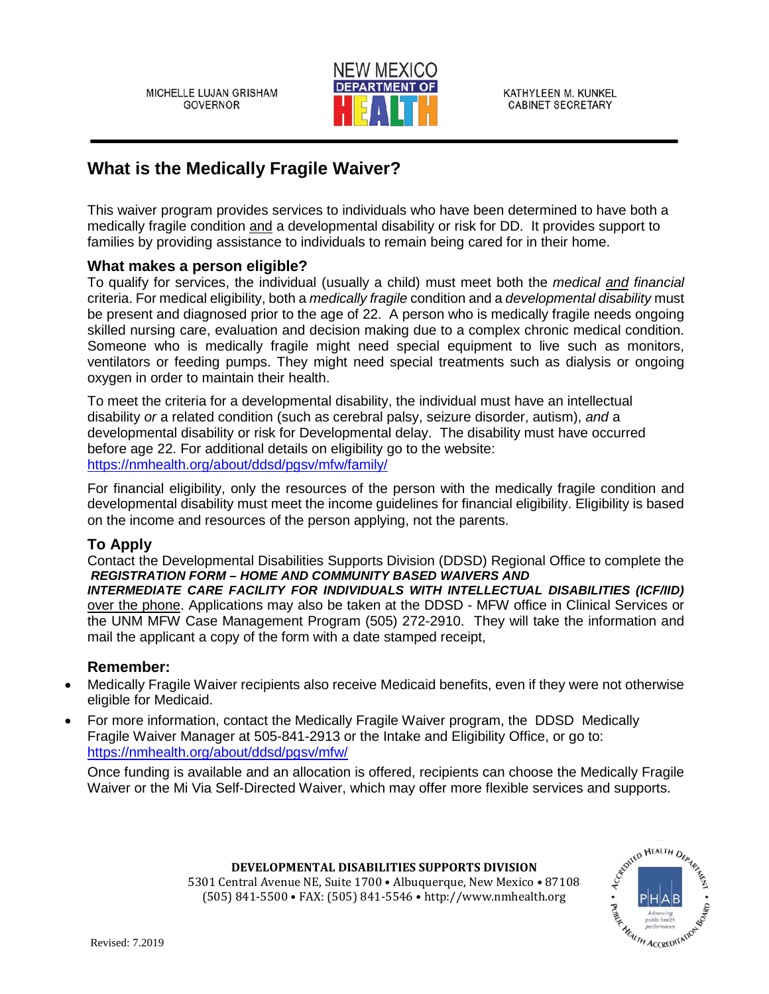

KATHYLEEN M. KUNKEL **CABINET SECRETARY** 

# **What is the Medically Fragile Waiver?**

This waiver program provides services to individuals who have been determined to have both a medically fragile condition and a developmental disability or risk for DD. It provides support to families by providing assistance to individuals to remain being cared for in their home.

## **What makes a person eligible?**

To qualify for services, the individual (usually a child) must meet both the *medical and financial* criteria. For medical eligibility, both a *medically fragile* condition and a *developmental disability* must be present and diagnosed prior to the age of 22. A person who is medically fragile needs ongoing skilled nursing care, evaluation and decision making due to a complex chronic medical condition. Someone who is medically fragile might need special equipment to live such as monitors, ventilators or feeding pumps. They might need special treatments such as dialysis or ongoing oxygen in order to maintain their health.

To meet the criteria for a developmental disability, the individual must have an intellectual disability *or* a related condition (such as cerebral palsy, seizure disorder, autism), *and* a developmental disability or risk for Developmental delay. The disability must have occurred before age 22. For additional details on eligibility go to the website: <https://nmhealth.org/about/ddsd/pgsv/mfw/family/>

For financial eligibility, only the resources of the person with the medically fragile condition and developmental disability must meet the income guidelines for financial eligibility. Eligibility is based on the income and resources of the person applying, not the parents.

## **To Apply**

Contact the Developmental Disabilities Supports Division (DDSD) Regional Office to complete the *REGISTRATION FORM – HOME AND COMMUNITY BASED WAIVERS AND* 

*INTERMEDIATE CARE FACILITY FOR INDIVIDUALS WITH INTELLECTUAL DISABILITIES (ICF/IID)* over the phone. Applications may also be taken at the DDSD - MFW office in Clinical Services or the UNM MFW Case Management Program (505) 272-2910. They will take the information and mail the applicant a copy of the form with a date stamped receipt,

## **Remember:**

- Medically Fragile Waiver recipients also receive Medicaid benefits, even if they were not otherwise eligible for Medicaid.
- For more information, contact the Medically Fragile Waiver program, the DDSD Medically Fragile Waiver Manager at 505-841-2913 or the Intake and Eligibility Office, or go to: <https://nmhealth.org/about/ddsd/pgsv/mfw/>

Once funding is available and an allocation is offered, recipients can choose the Medically Fragile Waiver or the Mi Via Self-Directed Waiver, which may offer more flexible services and supports.



5301 Central Avenue NE, Suite 1700 • Albuquerque, New Mexico • 87108 (505) 841-5500 • FAX: (505) 841-5546 • http://www.nmhealth.org